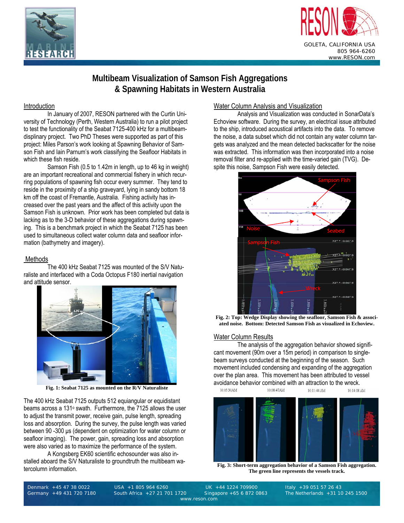



# **Multibeam Visualization of Samson Fish Aggregations & Spawning Habitats in Western Australia**

#### Introduction

In January of 2007, RESON partnered with the Curtin University of Technology (Perth, Western Australia) to run a pilot project to test the functionality of the Seabat 7125-400 kHz for a multibeamdisplinary project. Two PhD Theses were supported as part of this project: Miles Parson's work looking at Spawning Behavior of Samson Fish and Iain Parnum's work classifying the Seafloor Habitats in which these fish reside.

 Samson Fish (0.5 to 1.42m in length, up to 46 kg in weight) are an important recreational and commercial fishery in which recurring populations of spawning fish occur every summer. They tend to reside in the proximity of a ship graveyard, lying in sandy bottom 18 km off the coast of Fremantle, Australia. Fishing activity has increased over the past years and the affect of this activity upon the Samson Fish is unknown. Prior work has been completed but data is lacking as to the 3-D behavior of these aggregations during spawning. This is a benchmark project in which the Seabat 7125 has been used to simultaneous collect water column data and seafloor information (bathymetry and imagery).

## Methods

The 400 kHz Seabat 7125 was mounted of the S/V Naturaliste and interfaced with a Coda Octopus F180 inertial navigation and attitude sensor.



**Fig. 1: Seabat 7125 as mounted on the R/V Naturaliste** 

The 400 kHz Seabat 7125 outputs 512 equiangular or equidistant beams across a 131o swath. Furthermore, the 7125 allows the user to adjust the transmit power, receive gain, pulse length, spreading loss and absorption. During the survey, the pulse length was varied between 90 -300 μs (dependent on optimization for water column or seafloor imaging). The power, gain, spreading loss and absorption were also varied as to maximize the performance of the system.

 A Kongsberg EK60 scientific echosounder was also installed aboard the S/V Naturaliste to groundtruth the multibeam watercolumn information.

## Water Column Analysis and Visualization

 Analysis and Visualization was conducted in SonarData's Echoview software. During the survey, an electrical issue attributed to the ship, introduced acoustical artifacts into the data. To remove the noise, a data subset which did not contain any water column targets was analyzed and the mean detected backscatter for the noise was extracted. This information was then incorporated into a noise removal filter and re-applied with the time-varied gain (TVG). Despite this noise, Sampson Fish were easily detected.



**Fig. 2: Top: Wedge Display showing the seafloor, Samson Fish & associated noise. Bottom: Detected Samson Fish as visualized in Echoview.** 

## Water Column Results

The analysis of the aggregation behavior showed significant movement (90m over a 15m period) in comparison to singlebeam surveys conducted at the beginning of the season. Such movement included condensing and expanding of the aggregation over the plan area. This movement has been attributed to vessel avoidance behavior combined with an attraction to the wreck.



**Fig. 3: Short-term aggregation behavior of a Samson Fish aggregation. The green line represents the vessels track.** 

Denmark +45 47 38 0022 USA +1 805 964 6260 UK +44 1224 709900 Italy +39 051 57 26 43

www.reson.com

The Netherlands  $+31$  10 245 1500